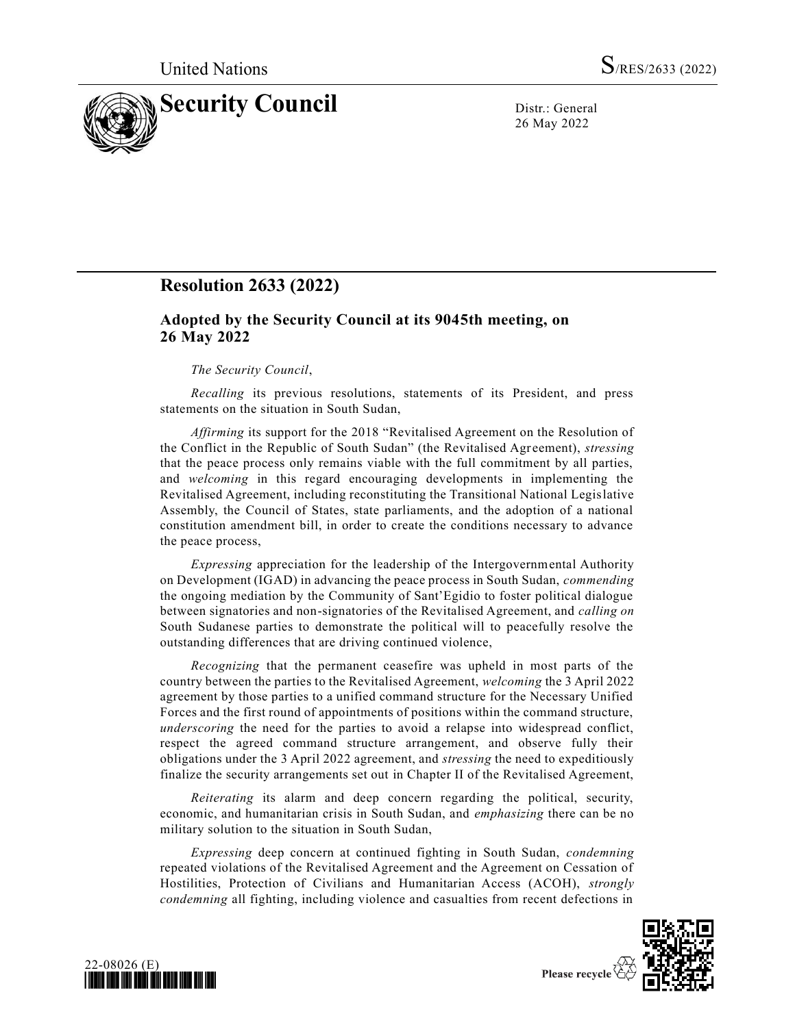

26 May 2022

# **Resolution 2633 (2022)**

## **Adopted by the Security Council at its 9045th meeting, on 26 May 2022**

### *The Security Council*,

*Recalling* its previous resolutions, statements of its President, and press statements on the situation in South Sudan,

*Affirming* its support for the 2018 "Revitalised Agreement on the Resolution of the Conflict in the Republic of South Sudan" (the Revitalised Agreement), *stressing* that the peace process only remains viable with the full commitment by all parties, and *welcoming* in this regard encouraging developments in implementing the Revitalised Agreement, including reconstituting the Transitional National Legislative Assembly, the Council of States, state parliaments, and the adoption of a national constitution amendment bill, in order to create the conditions necessary to advance the peace process,

*Expressing* appreciation for the leadership of the Intergovernmental Authority on Development (IGAD) in advancing the peace process in South Sudan, *commending* the ongoing mediation by the Community of Sant'Egidio to foster political dialogue between signatories and non-signatories of the Revitalised Agreement, and *calling on* South Sudanese parties to demonstrate the political will to peacefully resolve the outstanding differences that are driving continued violence,

*Recognizing* that the permanent ceasefire was upheld in most parts of the country between the parties to the Revitalised Agreement, *welcoming* the 3 April 2022 agreement by those parties to a unified command structure for the Necessary Unified Forces and the first round of appointments of positions within the command structure, *underscoring* the need for the parties to avoid a relapse into widespread conflict, respect the agreed command structure arrangement, and observe fully their obligations under the 3 April 2022 agreement, and *stressing* the need to expeditiously finalize the security arrangements set out in Chapter II of the Revitalised Agreement,

*Reiterating* its alarm and deep concern regarding the political, security, economic, and humanitarian crisis in South Sudan, and *emphasizing* there can be no military solution to the situation in South Sudan,

*Expressing* deep concern at continued fighting in South Sudan, *condemning* repeated violations of the Revitalised Agreement and the Agreement on Cessation of Hostilities, Protection of Civilians and Humanitarian Access (ACOH), *strongly condemning* all fighting, including violence and casualties from recent defections in



![](_page_0_Picture_14.jpeg)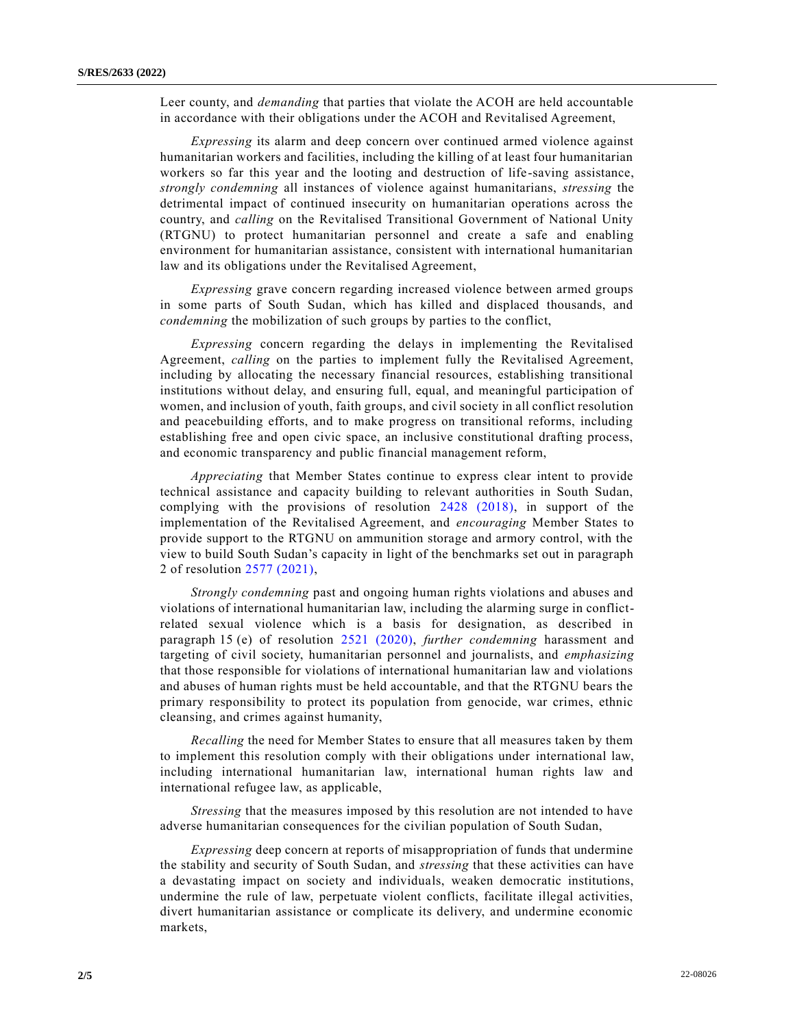Leer county, and *demanding* that parties that violate the ACOH are held accountable in accordance with their obligations under the ACOH and Revitalised Agreement,

*Expressing* its alarm and deep concern over continued armed violence against humanitarian workers and facilities, including the killing of at least four humanitarian workers so far this year and the looting and destruction of life-saving assistance, *strongly condemning* all instances of violence against humanitarians, *stressing* the detrimental impact of continued insecurity on humanitarian operations across the country, and *calling* on the Revitalised Transitional Government of National Unity (RTGNU) to protect humanitarian personnel and create a safe and enabling environment for humanitarian assistance, consistent with international humanitarian law and its obligations under the Revitalised Agreement,

*Expressing* grave concern regarding increased violence between armed groups in some parts of South Sudan, which has killed and displaced thousands, and *condemning* the mobilization of such groups by parties to the conflict,

*Expressing* concern regarding the delays in implementing the Revitalised Agreement, *calling* on the parties to implement fully the Revitalised Agreement, including by allocating the necessary financial resources, establishing transitional institutions without delay, and ensuring full, equal, and meaningful participation of women, and inclusion of youth, faith groups, and civil society in all conflict resolution and peacebuilding efforts, and to make progress on transitional reforms, including establishing free and open civic space, an inclusive constitutional drafting process, and economic transparency and public financial management reform,

*Appreciating* that Member States continue to express clear intent to provide technical assistance and capacity building to relevant authorities in South Sudan, complying with the provisions of resolution [2428 \(2018\),](https://undocs.org/en/S/RES/2428(2018)) in support of the implementation of the Revitalised Agreement, and *encouraging* Member States to provide support to the RTGNU on ammunition storage and armory control, with the view to build South Sudan's capacity in light of the benchmarks set out in paragraph 2 of resolution [2577 \(2021\),](https://undocs.org/en/S/RES/2577(2021))

*Strongly condemning* past and ongoing human rights violations and abuses and violations of international humanitarian law, including the alarming surge in conflictrelated sexual violence which is a basis for designation, as described in paragraph 15 (e) of resolution [2521 \(2020\),](https://undocs.org/en/S/RES/2521(2020)) *further condemning* harassment and targeting of civil society, humanitarian personnel and journalists, and *emphasizing* that those responsible for violations of international humanitarian law and violations and abuses of human rights must be held accountable, and that the RTGNU bears the primary responsibility to protect its population from genocide, war crimes, ethnic cleansing, and crimes against humanity,

*Recalling* the need for Member States to ensure that all measures taken by them to implement this resolution comply with their obligations under international law, including international humanitarian law, international human rights law and international refugee law, as applicable,

*Stressing* that the measures imposed by this resolution are not intended to have adverse humanitarian consequences for the civilian population of South Sudan,

*Expressing* deep concern at reports of misappropriation of funds that undermine the stability and security of South Sudan, and *stressing* that these activities can have a devastating impact on society and individuals, weaken democratic institutions, undermine the rule of law, perpetuate violent conflicts, facilitate illegal activities, divert humanitarian assistance or complicate its delivery, and undermine economic markets,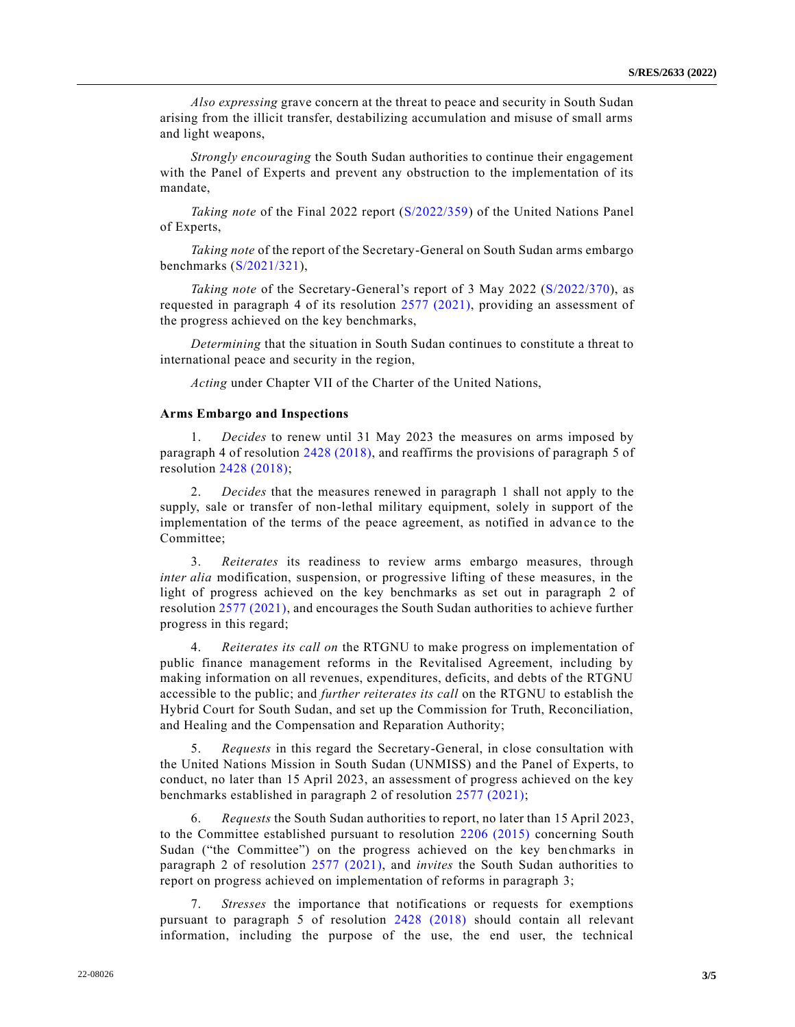*Also expressing* grave concern at the threat to peace and security in South Sudan arising from the illicit transfer, destabilizing accumulation and misuse of small arms and light weapons,

*Strongly encouraging* the South Sudan authorities to continue their engagement with the Panel of Experts and prevent any obstruction to the implementation of its mandate,

*Taking note* of the Final 2022 report [\(S/2022/359\)](https://undocs.org/en/S/2022/359) of the United Nations Panel of Experts,

*Taking note* of the report of the Secretary-General on South Sudan arms embargo benchmarks [\(S/2021/321\)](https://undocs.org/en/S/2021/321),

*Taking note* of the Secretary-General's report of 3 May 2022 [\(S/2022/370\)](https://undocs.org/en/S/2022/370), as requested in paragraph 4 of its resolution [2577 \(2021\),](https://undocs.org/en/S/RES/2577(2021)) providing an assessment of the progress achieved on the key benchmarks,

*Determining* that the situation in South Sudan continues to constitute a threat to international peace and security in the region,

*Acting* under Chapter VII of the Charter of the United Nations,

#### **Arms Embargo and Inspections**

1. *Decides* to renew until 31 May 2023 the measures on arms imposed by paragraph 4 of resolution [2428 \(2018\),](https://undocs.org/en/S/RES/2428(2018)) and reaffirms the provisions of paragraph 5 of resolution [2428 \(2018\);](https://undocs.org/en/S/RES/2428(2018))

2. *Decides* that the measures renewed in paragraph 1 shall not apply to the supply, sale or transfer of non-lethal military equipment, solely in support of the implementation of the terms of the peace agreement, as notified in advance to the Committee;

3. *Reiterates* its readiness to review arms embargo measures, through *inter alia* modification, suspension, or progressive lifting of these measures, in the light of progress achieved on the key benchmarks as set out in paragraph 2 of resolutio[n 2577 \(2021\),](https://undocs.org/en/S/RES/2577(2021)) and encourages the South Sudan authorities to achieve further progress in this regard;

4. *Reiterates its call on* the RTGNU to make progress on implementation of public finance management reforms in the Revitalised Agreement, including by making information on all revenues, expenditures, deficits, and debts of the RTGNU accessible to the public; and *further reiterates its call* on the RTGNU to establish the Hybrid Court for South Sudan, and set up the Commission for Truth, Reconciliation, and Healing and the Compensation and Reparation Authority;

5. *Requests* in this regard the Secretary-General, in close consultation with the United Nations Mission in South Sudan (UNMISS) and the Panel of Experts, to conduct, no later than 15 April 2023, an assessment of progress achieved on the key benchmarks established in paragraph 2 of resolution [2577 \(2021\);](https://undocs.org/en/S/RES/2577(2021))

6. *Requests* the South Sudan authorities to report, no later than 15 April 2023, to the Committee established pursuant to resolution [2206 \(2015\)](https://undocs.org/en/S/RES/2206(2015)) concerning South Sudan ("the Committee") on the progress achieved on the key benchmarks in paragraph 2 of resolution [2577 \(2021\),](https://undocs.org/en/S/RES/2577(2021)) and *invites* the South Sudan authorities to report on progress achieved on implementation of reforms in paragraph 3;

7. *Stresses* the importance that notifications or requests for exemptions pursuant to paragraph 5 of resolution [2428 \(2018\)](https://undocs.org/en/S/RES/2428(2018)) should contain all relevant information, including the purpose of the use, the end user, the technical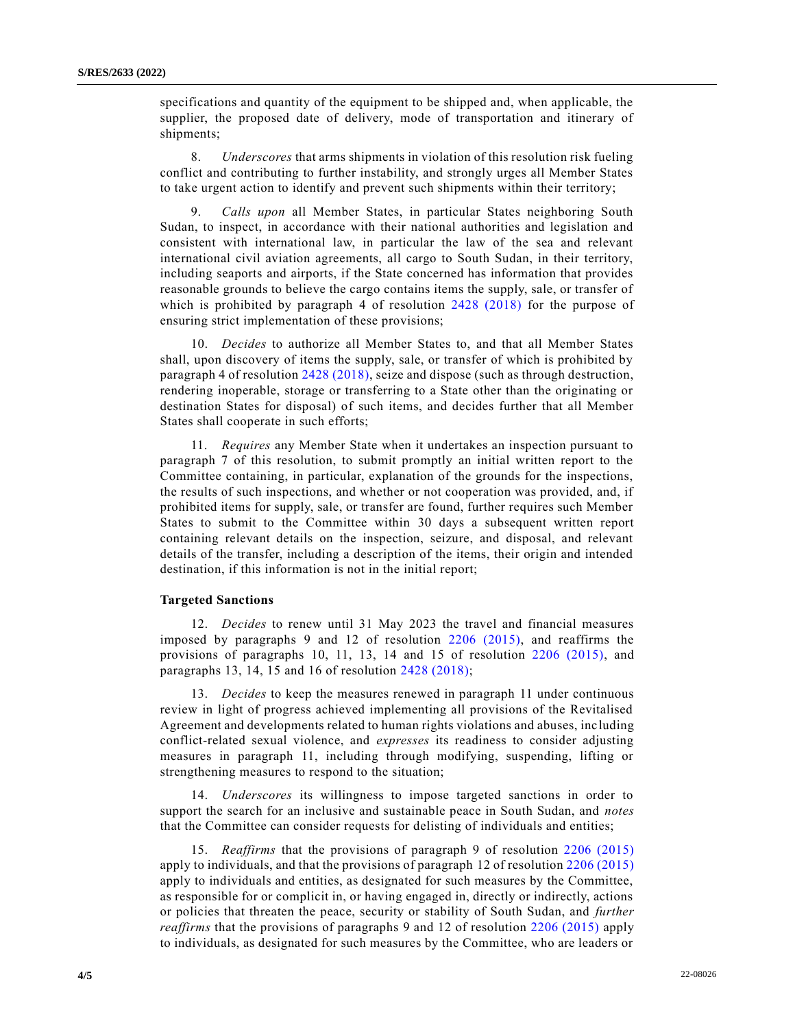specifications and quantity of the equipment to be shipped and, when applicable, the supplier, the proposed date of delivery, mode of transportation and itinerary of shipments;

8. *Underscores* that arms shipments in violation of this resolution risk fueling conflict and contributing to further instability, and strongly urges all Member States to take urgent action to identify and prevent such shipments within their territory;

9. *Calls upon* all Member States, in particular States neighboring South Sudan, to inspect, in accordance with their national authorities and legislation and consistent with international law, in particular the law of the sea and relevant international civil aviation agreements, all cargo to South Sudan, in their territory, including seaports and airports, if the State concerned has information that provides reasonable grounds to believe the cargo contains items the supply, sale, or transfer of which is prohibited by paragraph 4 of resolution [2428 \(2018\)](https://undocs.org/en/S/RES/2428(2018)) for the purpose of ensuring strict implementation of these provisions;

10. *Decides* to authorize all Member States to, and that all Member States shall, upon discovery of items the supply, sale, or transfer of which is prohibited by paragraph 4 of resolution [2428 \(2018\),](https://undocs.org/en/S/RES/2428(2018)) seize and dispose (such as through destruction, rendering inoperable, storage or transferring to a State other than the originating or destination States for disposal) of such items, and decides further that all Member States shall cooperate in such efforts;

11. *Requires* any Member State when it undertakes an inspection pursuant to paragraph 7 of this resolution, to submit promptly an initial written report to the Committee containing, in particular, explanation of the grounds for the inspections, the results of such inspections, and whether or not cooperation was provided, and, if prohibited items for supply, sale, or transfer are found, further requires such Member States to submit to the Committee within 30 days a subsequent written report containing relevant details on the inspection, seizure, and disposal, and relevant details of the transfer, including a description of the items, their origin and intended destination, if this information is not in the initial report;

#### **Targeted Sanctions**

12. *Decides* to renew until 31 May 2023 the travel and financial measures imposed by paragraphs 9 and 12 of resolution [2206 \(2015\),](https://undocs.org/en/S/RES/2206(2015)) and reaffirms the provisions of paragraphs 10, 11, 13, 14 and 15 of resolution [2206 \(2015\),](https://undocs.org/en/S/RES/2206(2015)) and paragraphs 13, 14, 15 and 16 of resolution [2428 \(2018\);](https://undocs.org/en/S/RES/2428(2018))

13. *Decides* to keep the measures renewed in paragraph 11 under continuous review in light of progress achieved implementing all provisions of the Revitalised Agreement and developments related to human rights violations and abuses, including conflict-related sexual violence, and *expresses* its readiness to consider adjusting measures in paragraph 11, including through modifying, suspending, lifting or strengthening measures to respond to the situation;

14. *Underscores* its willingness to impose targeted sanctions in order to support the search for an inclusive and sustainable peace in South Sudan, and *notes* that the Committee can consider requests for delisting of individuals and entities;

15. *Reaffirms* that the provisions of paragraph 9 of resolution [2206 \(2015\)](https://undocs.org/en/S/RES/2206(2015)) apply to individuals, and that the provisions of paragraph 12 of resolution [2206 \(2015\)](https://undocs.org/en/S/RES/2206(2015)) apply to individuals and entities, as designated for such measures by the Committee, as responsible for or complicit in, or having engaged in, directly or indirectly, actions or policies that threaten the peace, security or stability of South Sudan, and *further reaffirms* that the provisions of paragraphs 9 and 12 of resolution [2206 \(2015\)](https://undocs.org/en/S/RES/2206(2015)) apply to individuals, as designated for such measures by the Committee, who are leaders or